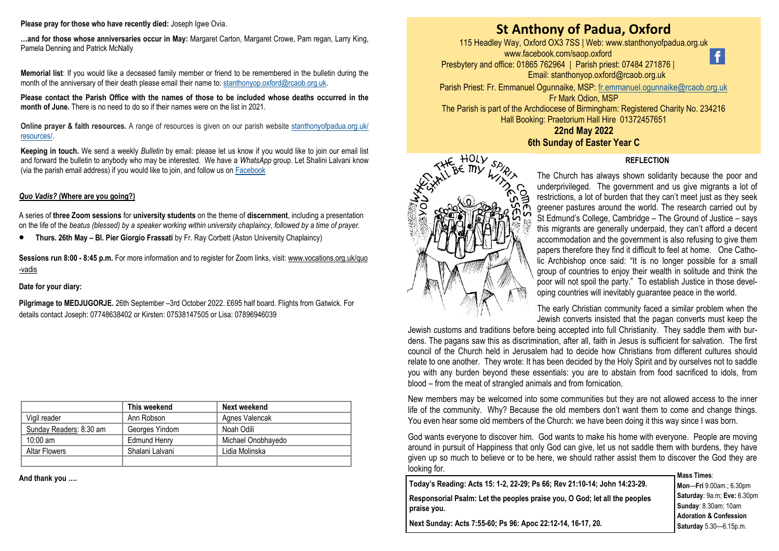### **Please pray for those who have recently died:** Joseph Igwe Ovia.

**…and for those whose anniversaries occur in May:** Margaret Carton, Margaret Crowe, Pam regan, Larry King, Pamela Denning and Patrick McNally

**Memorial list**: If you would like a deceased family member or friend to be remembered in the bulletin during the month of the anniversary of their death please email their name to: [stanthonyop.oxford@rcaob.org.uk.](mailto:stanthonyop.oxford@rcaob.org.uk) 

**Please contact the Parish Office with the names of those to be included whose deaths occurred in the month of June.** There is no need to do so if their names were on the list in 2021.

**Online prayer & faith resources.** A range of resources is given on our parish website [stanthonyofpadua.org.uk/](http://www.stanthonyofpadua.org.uk/resources/) [resources/.](http://www.stanthonyofpadua.org.uk/resources/)

**Keeping in touch.** We send a weekly *Bulletin* by email: please let us know if you would like to join our email list and forward the bulletin to anybody who may be interested. We have a *WhatsApp* group. Let Shalini Lalvani know (via the parish email address) if you would like to join, and follow us on [Facebook](http://www.facebook.com/saop.oxford)

### *Quo Vadis?* **(Where are you going?)**

A series of **three Zoom sessions** for **university students** on the theme of **discernment**, including a presentation on the life of the *beatus (blessed) by a speaker working within university chaplaincy, followed by a time of prayer.*

• **Thurs. 26th May – Bl. Pier Giorgio Frassati** by Fr. Ray Corbett (Aston University Chaplaincy)

**Sessions run 8:00 - 8:45 p.m.** For more information and to register for Zoom links, visit: [www.vocations.org.uk/quo](https://gbr01.safelinks.protection.outlook.com/?url=http%3A%2F%2Fwww.vocations.org.uk%2Fquo-vadis&data=05%7C01%7Cstanthonyop.oxford%40rcaob.org.uk%7Cc0c0cb9fc39b451d17b908da251cee55%7Cf594e61c4546432cb248cacae233b935%7C0%7C0%7C637863103684789768%7CUnknown%7CT) [-vadis](https://gbr01.safelinks.protection.outlook.com/?url=http%3A%2F%2Fwww.vocations.org.uk%2Fquo-vadis&data=05%7C01%7Cstanthonyop.oxford%40rcaob.org.uk%7Cc0c0cb9fc39b451d17b908da251cee55%7Cf594e61c4546432cb248cacae233b935%7C0%7C0%7C637863103684789768%7CUnknown%7CT)

### **Date for your diary:**

**Pilgrimage to MEDJUGORJE.** 26th September –3rd October 2022. £695 half board. Flights from Gatwick. For details contact Joseph: 07748638402 or Kirsten: 07538147505 or Lisa: 07896946039

|                         | This weekend        | Next weekend       |
|-------------------------|---------------------|--------------------|
| Vigil reader            | Ann Robson          | Agnes Valencak     |
| Sunday Readers: 8:30 am | Georges Yindom      | Noah Odili         |
| $10:00$ am              | <b>Edmund Henry</b> | Michael Onobhayedo |
| <b>Altar Flowers</b>    | Shalani Lalvani     | Lidia Molinska     |
|                         |                     |                    |

**And thank you ….**

# **St Anthony of Padua, Oxford**

115 Headley Way, Oxford OX3 7SS | Web: www.stanthonyofpadua.org.uk www.facebook.com/saop.oxford  $\ddot{\mathbf{f}}$ Presbytery and office: 01865 762964 | Parish priest: 07484 271876 |



Parish Priest: Fr. Emmanuel Ogunnaike, MSP: [fr.emmanuel.ogunnaike@rcaob.org.uk](mailto:fr.emmanuel.ogunnaike@rcaob.org.uk) Fr Mark Odion, MSP The Parish is part of the Archdiocese of Birmingham: Registered Charity No. 234216 Hall Booking: Praetorium Hall Hire 01372457651 **22nd May 2022**

## **6th Sunday of Easter Year C**



The Church has always shown solidarity because the poor and underprivileged. The government and us give migrants a lot of restrictions, a lot of burden that they can't meet just as they seek greener pastures around the world. The research carried out by St Edmund's College, Cambridge – The Ground of Justice – says this migrants are generally underpaid, they can't afford a decent accommodation and the government is also refusing to give them papers therefore they find it difficult to feel at home. One Catholic Archbishop once said: "It is no longer possible for a small group of countries to enjoy their wealth in solitude and think the poor will not spoil the party." To establish Justice in those developing countries will inevitably guarantee peace in the world.

**REFLECTION**

The early Christian community faced a similar problem when the Jewish converts insisted that the pagan converts must keep the

Jewish customs and traditions before being accepted into full Christianity. They saddle them with burdens. The pagans saw this as discrimination, after all, faith in Jesus is sufficient for salvation. The first council of the Church held in Jerusalem had to decide how Christians from different cultures should relate to one another. They wrote: It has been decided by the Holy Spirit and by ourselves not to saddle you with any burden beyond these essentials: you are to abstain from food sacrificed to idols, from blood – from the meat of strangled animals and from fornication.

New members may be welcomed into some communities but they are not allowed access to the inner life of the community. Why? Because the old members don't want them to come and change things. You even hear some old members of the Church: we have been doing it this way since I was born.

God wants everyone to discover him. God wants to make his home with everyone. People are moving around in pursuit of Happiness that only God can give, let us not saddle them with burdens, they have given up so much to believe or to be here, we should rather assist them to discover the God they are looking for. **Mass Times**:

**Today's Reading: Acts 15: 1-2, 22-29; Ps 66; Rev 21:10-14; John 14:23-29. Responsorial Psalm: Let the peoples praise you, O God; let all the peoples praise you.**

**Mon**—**Fri** 9.00am.; 6.30pm **Saturday**: 9a.m; **Eve:** 6.30pm **Sunday**: 8.30am; 10am **Adoration & Confession Saturday** 5.30—6.15p.m.

**Next Sunday: Acts 7:55-60; Ps 96: Apoc 22:12-14, 16-17, 20.**